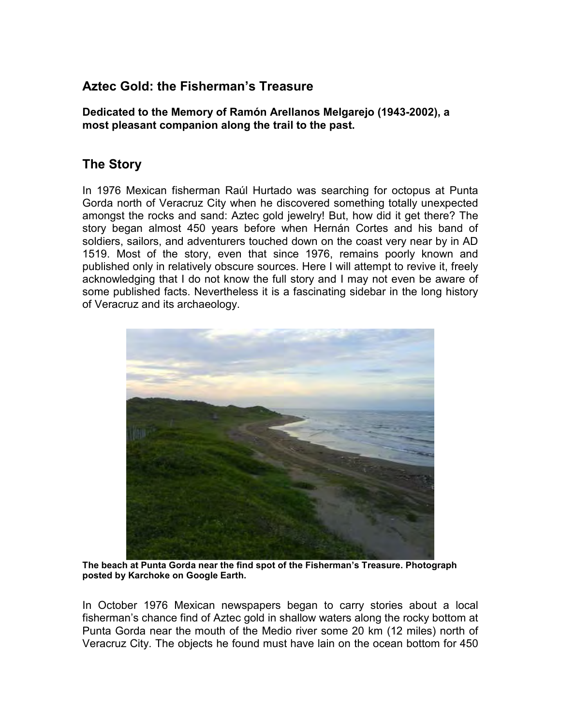## **Aztec Gold: the Fisherman's Treasure**

**Dedicated to the Memory of Ramón Arellanos Melgarejo (1943-2002), a most pleasant companion along the trail to the past.** 

## **The Story**

In 1976 Mexican fisherman Raúl Hurtado was searching for octopus at Punta Gorda north of Veracruz City when he discovered something totally unexpected amongst the rocks and sand: Aztec gold jewelry! But, how did it get there? The story began almost 450 years before when Hernán Cortes and his band of soldiers, sailors, and adventurers touched down on the coast very near by in AD 1519. Most of the story, even that since 1976, remains poorly known and published only in relatively obscure sources. Here I will attempt to revive it, freely acknowledging that I do not know the full story and I may not even be aware of some published facts. Nevertheless it is a fascinating sidebar in the long history of Veracruz and its archaeology.



**The beach at Punta Gorda near the find spot of the Fisherman's Treasure. Photograph posted by Karchoke on Google Earth.** 

In October 1976 Mexican newspapers began to carry stories about a local fisherman's chance find of Aztec gold in shallow waters along the rocky bottom at Punta Gorda near the mouth of the Medio river some 20 km (12 miles) north of Veracruz City. The objects he found must have lain on the ocean bottom for 450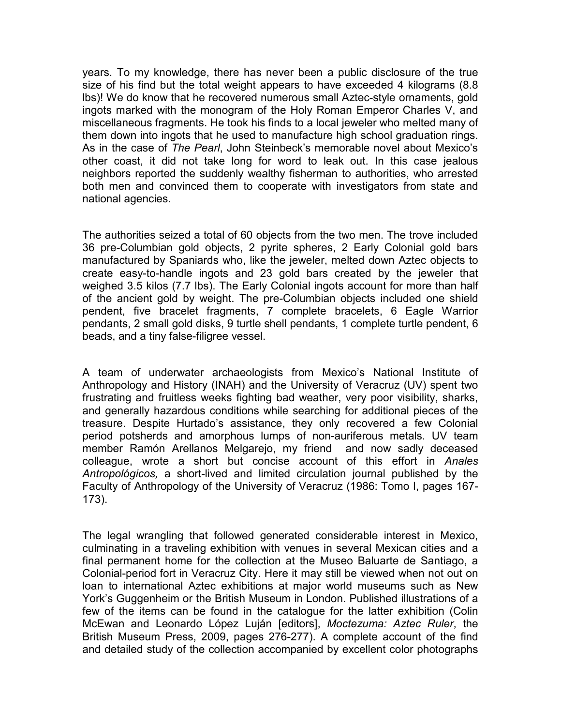years. To my knowledge, there has never been a public disclosure of the true size of his find but the total weight appears to have exceeded 4 kilograms (8.8 lbs)! We do know that he recovered numerous small Aztec-style ornaments, gold ingots marked with the monogram of the Holy Roman Emperor Charles V, and miscellaneous fragments. He took his finds to a local jeweler who melted many of them down into ingots that he used to manufacture high school graduation rings. As in the case of *The Pearl*, John Steinbeck's memorable novel about Mexico's other coast, it did not take long for word to leak out. In this case jealous neighbors reported the suddenly wealthy fisherman to authorities, who arrested both men and convinced them to cooperate with investigators from state and national agencies.

The authorities seized a total of 60 objects from the two men. The trove included 36 pre-Columbian gold objects, 2 pyrite spheres, 2 Early Colonial gold bars manufactured by Spaniards who, like the jeweler, melted down Aztec objects to create easy-to-handle ingots and 23 gold bars created by the jeweler that weighed 3.5 kilos (7.7 lbs). The Early Colonial ingots account for more than half of the ancient gold by weight. The pre-Columbian objects included one shield pendent, five bracelet fragments, 7 complete bracelets, 6 Eagle Warrior pendants, 2 small gold disks, 9 turtle shell pendants, 1 complete turtle pendent, 6 beads, and a tiny false-filigree vessel.

A team of underwater archaeologists from Mexico's National Institute of Anthropology and History (INAH) and the University of Veracruz (UV) spent two frustrating and fruitless weeks fighting bad weather, very poor visibility, sharks, and generally hazardous conditions while searching for additional pieces of the treasure. Despite Hurtado's assistance, they only recovered a few Colonial period potsherds and amorphous lumps of non-auriferous metals. UV team member Ramón Arellanos Melgarejo, my friend and now sadly deceased colleague, wrote a short but concise account of this effort in *Anales Antropológicos,* a short-lived and limited circulation journal published by the Faculty of Anthropology of the University of Veracruz (1986: Tomo I, pages 167- 173).

The legal wrangling that followed generated considerable interest in Mexico, culminating in a traveling exhibition with venues in several Mexican cities and a final permanent home for the collection at the Museo Baluarte de Santiago, a Colonial-period fort in Veracruz City. Here it may still be viewed when not out on loan to international Aztec exhibitions at major world museums such as New York's Guggenheim or the British Museum in London. Published illustrations of a few of the items can be found in the catalogue for the latter exhibition (Colin McEwan and Leonardo López Luján [editors], *Moctezuma: Aztec Ruler*, the British Museum Press, 2009, pages 276-277). A complete account of the find and detailed study of the collection accompanied by excellent color photographs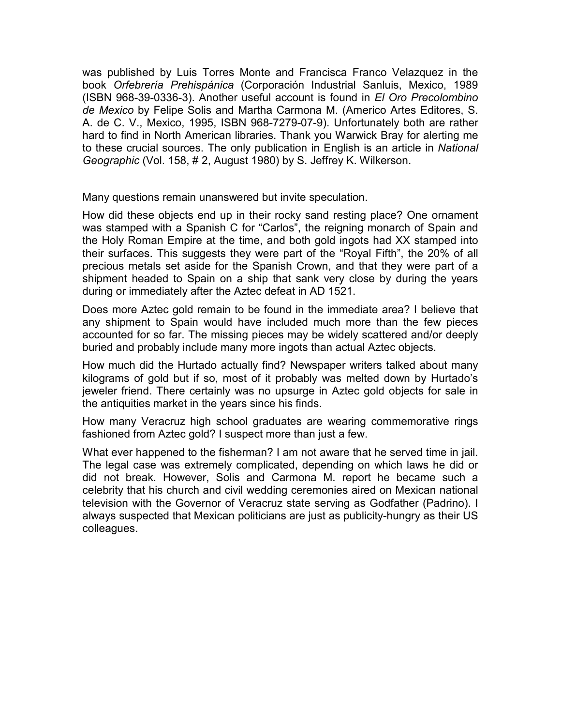was published by Luis Torres Monte and Francisca Franco Velazquez in the book *Orfebrería Prehispánica* (Corporación Industrial Sanluis, Mexico, 1989 (ISBN 968-39-0336-3). Another useful account is found in *El Oro Precolombino de Mexico* by Felipe Solis and Martha Carmona M. (Americo Artes Editores, S. A. de C. V., Mexico, 1995, ISBN 968-7279-07-9). Unfortunately both are rather hard to find in North American libraries. Thank you Warwick Bray for alerting me to these crucial sources. The only publication in English is an article in *National Geographic* (Vol. 158, # 2, August 1980) by S. Jeffrey K. Wilkerson.

Many questions remain unanswered but invite speculation.

How did these objects end up in their rocky sand resting place? One ornament was stamped with a Spanish C for "Carlos", the reigning monarch of Spain and the Holy Roman Empire at the time, and both gold ingots had XX stamped into their surfaces. This suggests they were part of the "Royal Fifth", the 20% of all precious metals set aside for the Spanish Crown, and that they were part of a shipment headed to Spain on a ship that sank very close by during the years during or immediately after the Aztec defeat in AD 1521.

Does more Aztec gold remain to be found in the immediate area? I believe that any shipment to Spain would have included much more than the few pieces accounted for so far. The missing pieces may be widely scattered and/or deeply buried and probably include many more ingots than actual Aztec objects.

How much did the Hurtado actually find? Newspaper writers talked about many kilograms of gold but if so, most of it probably was melted down by Hurtado's jeweler friend. There certainly was no upsurge in Aztec gold objects for sale in the antiquities market in the years since his finds.

How many Veracruz high school graduates are wearing commemorative rings fashioned from Aztec gold? I suspect more than just a few.

What ever happened to the fisherman? I am not aware that he served time in jail. The legal case was extremely complicated, depending on which laws he did or did not break. However, Solis and Carmona M. report he became such a celebrity that his church and civil wedding ceremonies aired on Mexican national television with the Governor of Veracruz state serving as Godfather (Padrino). I always suspected that Mexican politicians are just as publicity-hungry as their US colleagues.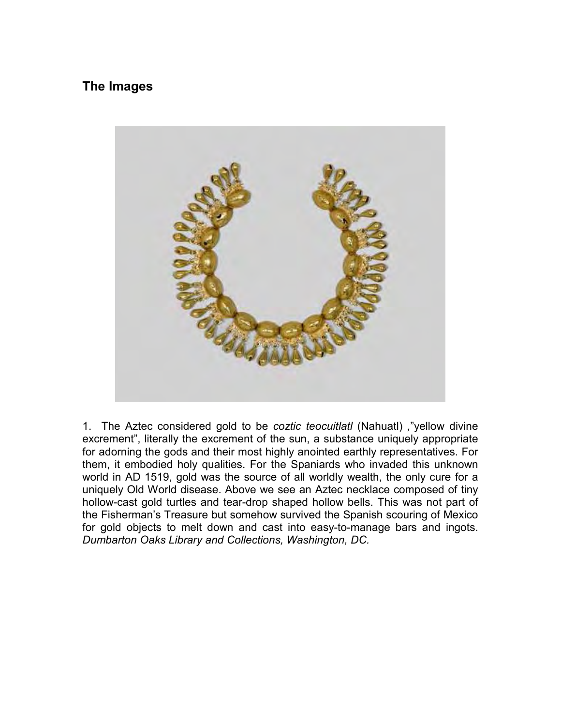## **The Images**



1. The Aztec considered gold to be *coztic teocuitlatl* (Nahuatl) *,*"yellow divine excrement", literally the excrement of the sun, a substance uniquely appropriate for adorning the gods and their most highly anointed earthly representatives. For them, it embodied holy qualities. For the Spaniards who invaded this unknown world in AD 1519, gold was the source of all worldly wealth, the only cure for a uniquely Old World disease. Above we see an Aztec necklace composed of tiny hollow-cast gold turtles and tear-drop shaped hollow bells. This was not part of the Fisherman's Treasure but somehow survived the Spanish scouring of Mexico for gold objects to melt down and cast into easy-to-manage bars and ingots. *Dumbarton Oaks Library and Collections, Washington, DC.*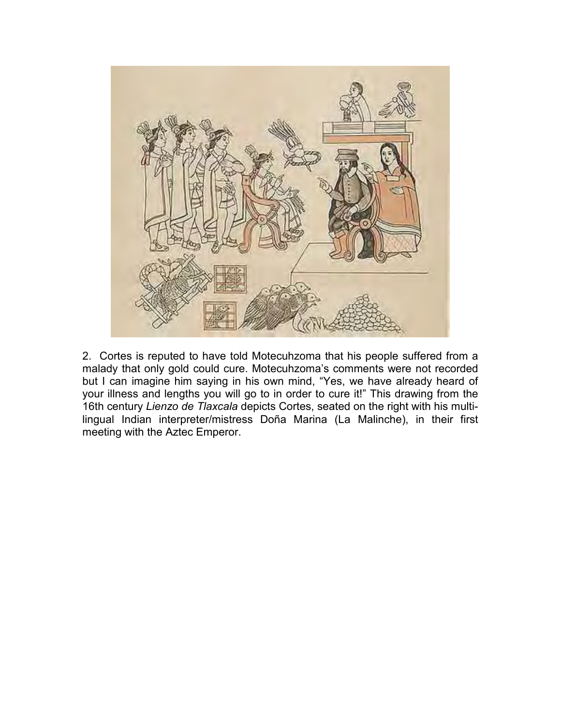

2. Cortes is reputed to have told Motecuhzoma that his people suffered from a malady that only gold could cure. Motecuhzoma's comments were not recorded but I can imagine him saying in his own mind, "Yes, we have already heard of your illness and lengths you will go to in order to cure it!" This drawing from the 16th century *Lienzo de Tlaxcala* depicts Cortes, seated on the right with his multilingual Indian interpreter/mistress Doña Marina (La Malinche), in their first meeting with the Aztec Emperor.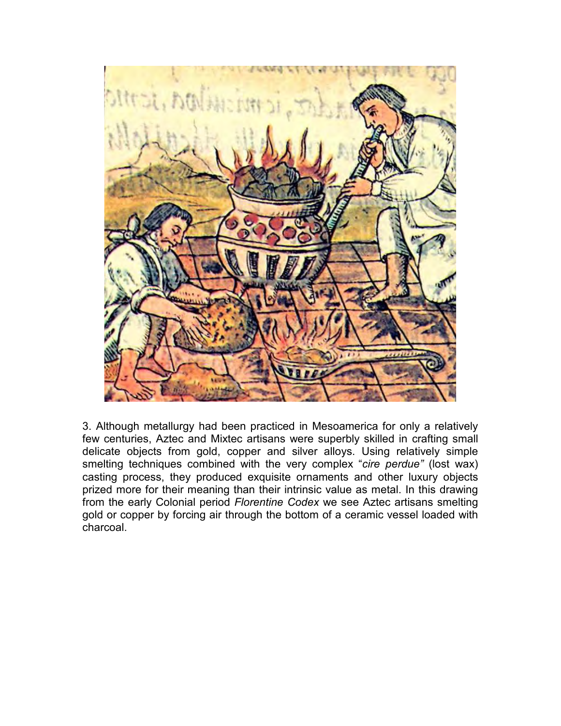

3. Although metallurgy had been practiced in Mesoamerica for only a relatively few centuries, Aztec and Mixtec artisans were superbly skilled in crafting small delicate objects from gold, copper and silver alloys. Using relatively simple smelting techniques combined with the very complex "*cire perdue"* (lost wax) casting process, they produced exquisite ornaments and other luxury objects prized more for their meaning than their intrinsic value as metal. In this drawing from the early Colonial period *Florentine Codex* we see Aztec artisans smelting gold or copper by forcing air through the bottom of a ceramic vessel loaded with charcoal.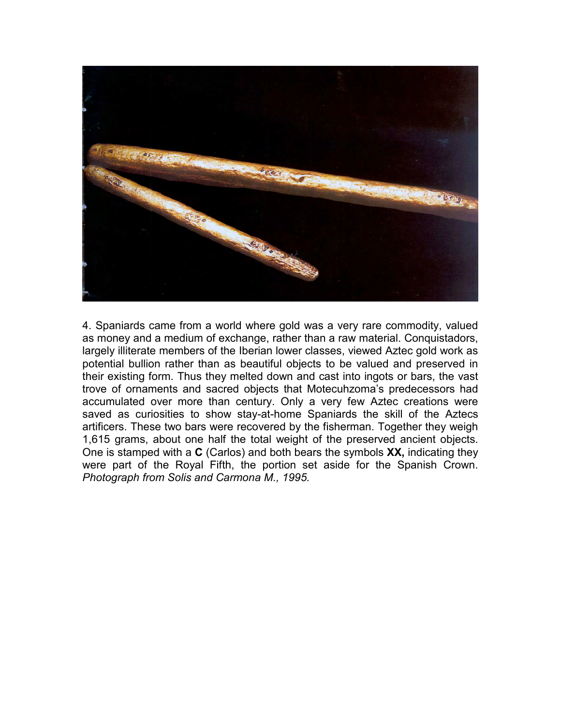

4. Spaniards came from a world where gold was a very rare commodity, valued as money and a medium of exchange, rather than a raw material. Conquistadors, largely illiterate members of the Iberian lower classes, viewed Aztec gold work as potential bullion rather than as beautiful objects to be valued and preserved in their existing form. Thus they melted down and cast into ingots or bars, the vast trove of ornaments and sacred objects that Motecuhzoma's predecessors had accumulated over more than century. Only a very few Aztec creations were saved as curiosities to show stay-at-home Spaniards the skill of the Aztecs artificers. These two bars were recovered by the fisherman. Together they weigh 1,615 grams, about one half the total weight of the preserved ancient objects. One is stamped with a **C** (Carlos) and both bears the symbols **XX,** indicating they were part of the Royal Fifth, the portion set aside for the Spanish Crown. *Photograph from Solis and Carmona M., 1995.*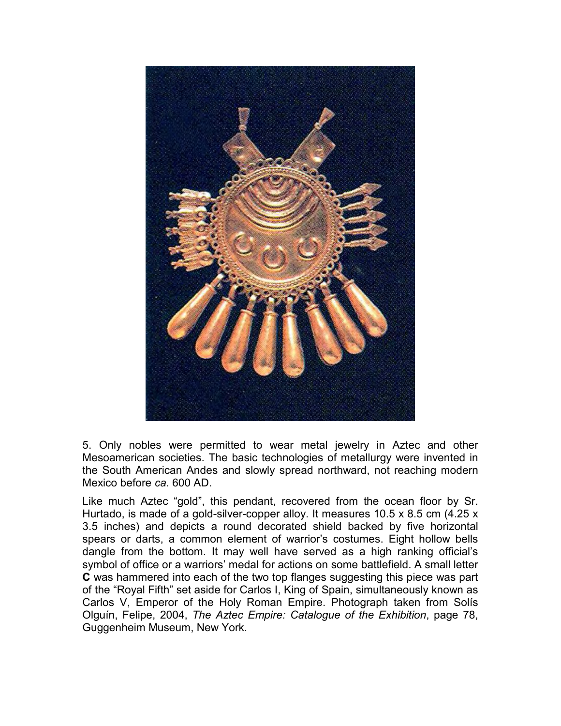

5. Only nobles were permitted to wear metal jewelry in Aztec and other Mesoamerican societies. The basic technologies of metallurgy were invented in the South American Andes and slowly spread northward, not reaching modern Mexico before *ca.* 600 AD.

Like much Aztec "gold", this pendant, recovered from the ocean floor by Sr. Hurtado, is made of a gold-silver-copper alloy. It measures 10.5 x 8.5 cm (4.25 x 3.5 inches) and depicts a round decorated shield backed by five horizontal spears or darts, a common element of warrior's costumes. Eight hollow bells dangle from the bottom. It may well have served as a high ranking official's symbol of office or a warriors' medal for actions on some battlefield. A small letter **C** was hammered into each of the two top flanges suggesting this piece was part of the "Royal Fifth" set aside for Carlos I, King of Spain, simultaneously known as Carlos V, Emperor of the Holy Roman Empire. Photograph taken from Solís Olguín, Felipe, 2004, *The Aztec Empire: Catalogue of the Exhibition*, page 78, Guggenheim Museum, New York.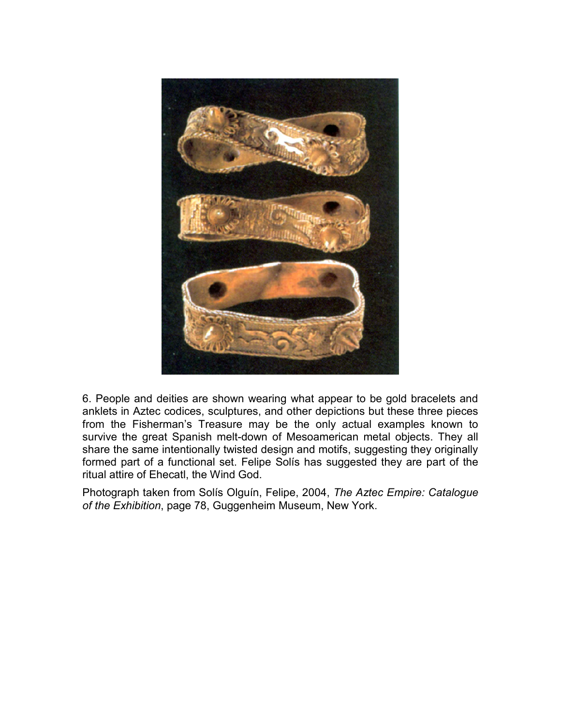

6. People and deities are shown wearing what appear to be gold bracelets and anklets in Aztec codices, sculptures, and other depictions but these three pieces from the Fisherman's Treasure may be the only actual examples known to survive the great Spanish melt-down of Mesoamerican metal objects. They all share the same intentionally twisted design and motifs, suggesting they originally formed part of a functional set. Felipe Solís has suggested they are part of the ritual attire of Ehecatl, the Wind God.

Photograph taken from Solís Olguín, Felipe, 2004, *The Aztec Empire: Catalogue of the Exhibition*, page 78, Guggenheim Museum, New York.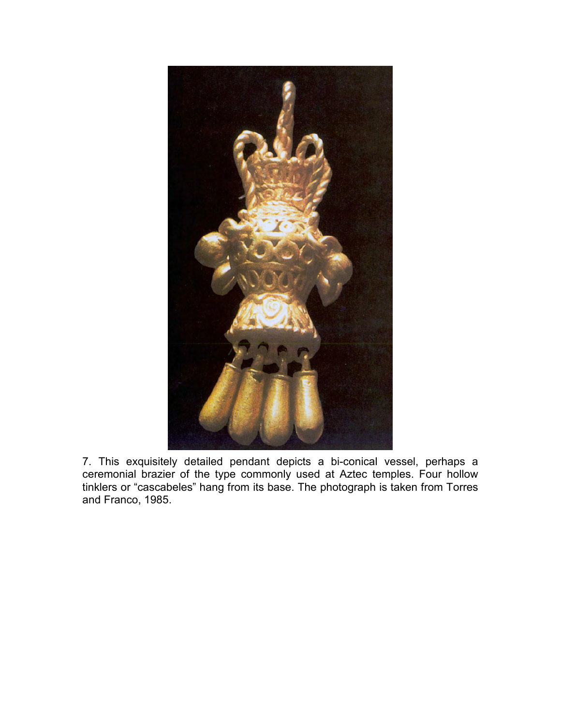

7. This exquisitely detailed pendant depicts a bi-conical vessel, perhaps a ceremonial brazier of the type commonly used at Aztec temples. Four hollow tinklers or "cascabeles" hang from its base. The photograph is taken from Torres and Franco, 1985.